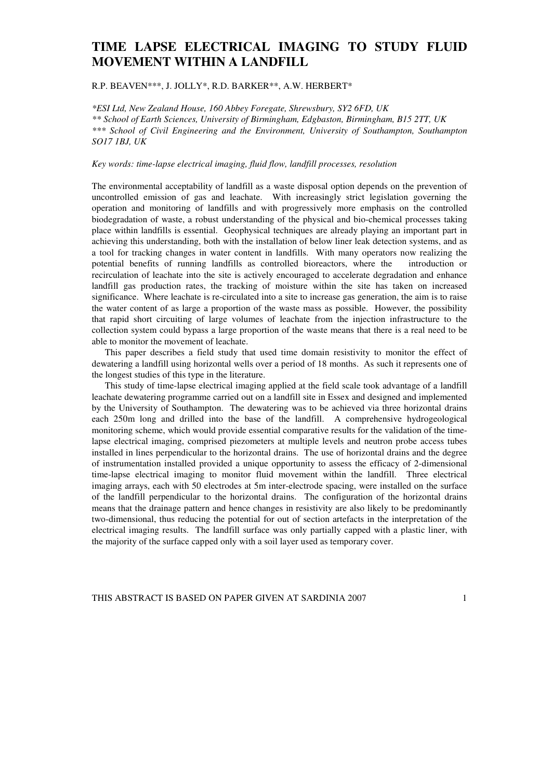## **TIME LAPSE ELECTRICAL IMAGING TO STUDY FLUID MOVEMENT WITHIN A LANDFILL**

R.P. BEAVEN\*\*\*, J. JOLLY\*, R.D. BARKER\*\*, A.W. HERBERT\*

*\*ESI Ltd, New Zealand House, 160 Abbey Foregate, Shrewsbury, SY2 6FD, UK \*\* School of Earth Sciences, University of Birmingham, Edgbaston, Birmingham, B15 2TT, UK \*\*\* School of Civil Engineering and the Environment, University of Southampton, Southampton SO17 1BJ, UK* 

*Key words: time-lapse electrical imaging, fluid flow, landfill processes, resolution* 

The environmental acceptability of landfill as a waste disposal option depends on the prevention of uncontrolled emission of gas and leachate. With increasingly strict legislation governing the operation and monitoring of landfills and with progressively more emphasis on the controlled biodegradation of waste, a robust understanding of the physical and bio-chemical processes taking place within landfills is essential. Geophysical techniques are already playing an important part in achieving this understanding, both with the installation of below liner leak detection systems, and as a tool for tracking changes in water content in landfills. With many operators now realizing the potential benefits of running landfills as controlled bioreactors, where the introduction or recirculation of leachate into the site is actively encouraged to accelerate degradation and enhance landfill gas production rates, the tracking of moisture within the site has taken on increased significance. Where leachate is re-circulated into a site to increase gas generation, the aim is to raise the water content of as large a proportion of the waste mass as possible. However, the possibility that rapid short circuiting of large volumes of leachate from the injection infrastructure to the collection system could bypass a large proportion of the waste means that there is a real need to be able to monitor the movement of leachate.

This paper describes a field study that used time domain resistivity to monitor the effect of dewatering a landfill using horizontal wells over a period of 18 months. As such it represents one of the longest studies of this type in the literature.

This study of time-lapse electrical imaging applied at the field scale took advantage of a landfill leachate dewatering programme carried out on a landfill site in Essex and designed and implemented by the University of Southampton. The dewatering was to be achieved via three horizontal drains each 250m long and drilled into the base of the landfill. A comprehensive hydrogeological monitoring scheme, which would provide essential comparative results for the validation of the timelapse electrical imaging, comprised piezometers at multiple levels and neutron probe access tubes installed in lines perpendicular to the horizontal drains. The use of horizontal drains and the degree of instrumentation installed provided a unique opportunity to assess the efficacy of 2-dimensional time-lapse electrical imaging to monitor fluid movement within the landfill. Three electrical imaging arrays, each with 50 electrodes at 5m inter-electrode spacing, were installed on the surface of the landfill perpendicular to the horizontal drains. The configuration of the horizontal drains means that the drainage pattern and hence changes in resistivity are also likely to be predominantly two-dimensional, thus reducing the potential for out of section artefacts in the interpretation of the electrical imaging results. The landfill surface was only partially capped with a plastic liner, with the majority of the surface capped only with a soil layer used as temporary cover.

THIS ABSTRACT IS BASED ON PAPER GIVEN AT SARDINIA 2007 1